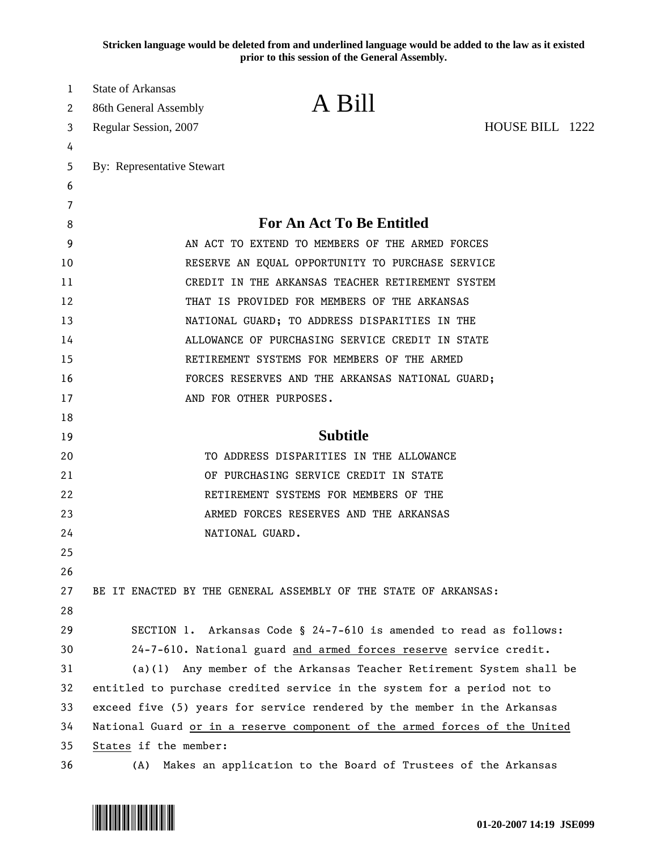**Stricken language would be deleted from and underlined language would be added to the law as it existed prior to this session of the General Assembly.**

| 1      | State of Arkansas                                                          | A Bill                                                                   |  |
|--------|----------------------------------------------------------------------------|--------------------------------------------------------------------------|--|
| 2      | 86th General Assembly                                                      |                                                                          |  |
| 3      | Regular Session, 2007                                                      | HOUSE BILL 1222                                                          |  |
| 4      |                                                                            |                                                                          |  |
| 5      | By: Representative Stewart                                                 |                                                                          |  |
| 6      |                                                                            |                                                                          |  |
| 7<br>8 |                                                                            | <b>For An Act To Be Entitled</b>                                         |  |
| 9      |                                                                            | AN ACT TO EXTEND TO MEMBERS OF THE ARMED FORCES                          |  |
| 10     |                                                                            | RESERVE AN EQUAL OPPORTUNITY TO PURCHASE SERVICE                         |  |
| 11     |                                                                            | CREDIT IN THE ARKANSAS TEACHER RETIREMENT SYSTEM                         |  |
| 12     |                                                                            | THAT IS PROVIDED FOR MEMBERS OF THE ARKANSAS                             |  |
| 13     |                                                                            | NATIONAL GUARD; TO ADDRESS DISPARITIES IN THE                            |  |
| 14     |                                                                            | ALLOWANCE OF PURCHASING SERVICE CREDIT IN STATE                          |  |
| 15     |                                                                            | RETIREMENT SYSTEMS FOR MEMBERS OF THE ARMED                              |  |
| 16     |                                                                            | FORCES RESERVES AND THE ARKANSAS NATIONAL GUARD;                         |  |
| 17     |                                                                            | AND FOR OTHER PURPOSES.                                                  |  |
| 18     |                                                                            |                                                                          |  |
| 19     |                                                                            | <b>Subtitle</b>                                                          |  |
| 20     |                                                                            | TO ADDRESS DISPARITIES IN THE ALLOWANCE                                  |  |
| 21     |                                                                            | OF PURCHASING SERVICE CREDIT IN STATE                                    |  |
| 22     |                                                                            | RETIREMENT SYSTEMS FOR MEMBERS OF THE                                    |  |
| 23     |                                                                            | ARMED FORCES RESERVES AND THE ARKANSAS                                   |  |
| 24     |                                                                            | NATIONAL GUARD.                                                          |  |
| 25     |                                                                            |                                                                          |  |
| 26     |                                                                            |                                                                          |  |
| 27     |                                                                            | BE IT ENACTED BY THE GENERAL ASSEMBLY OF THE STATE OF ARKANSAS:          |  |
| 28     |                                                                            |                                                                          |  |
| 29     |                                                                            | SECTION 1. Arkansas Code § 24-7-610 is amended to read as follows:       |  |
| 30     |                                                                            | 24-7-610. National guard and armed forces reserve service credit.        |  |
| 31     |                                                                            | (a)(1) Any member of the Arkansas Teacher Retirement System shall be     |  |
| 32     |                                                                            | entitled to purchase credited service in the system for a period not to  |  |
| 33     |                                                                            | exceed five (5) years for service rendered by the member in the Arkansas |  |
| 34     | National Guard or in a reserve component of the armed forces of the United |                                                                          |  |
| 35     | States if the member:                                                      |                                                                          |  |
| 36     | (A)                                                                        | Makes an application to the Board of Trustees of the Arkansas            |  |

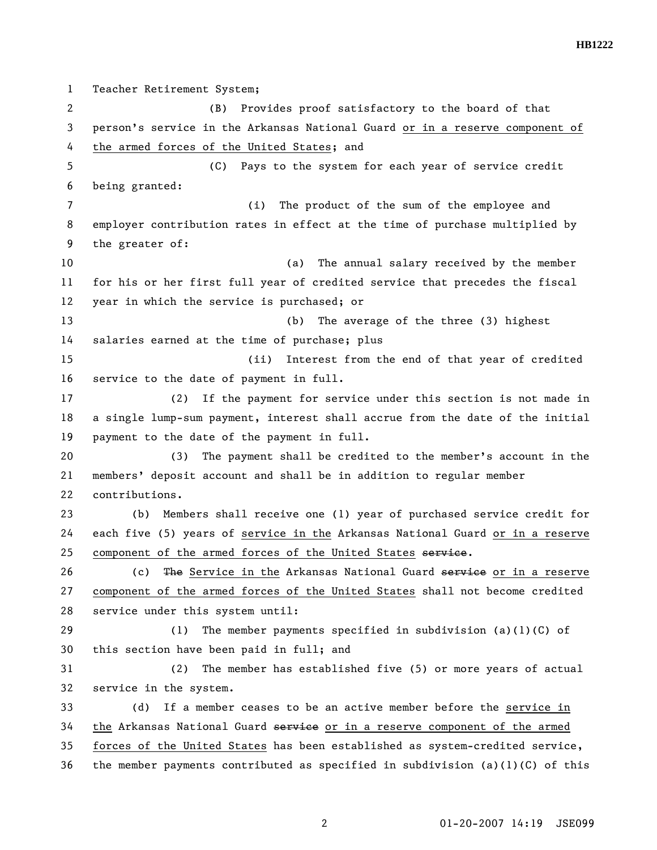**HB1222** 

1 Teacher Retirement System; 2 (B) Provides proof satisfactory to the board of that 3 person's service in the Arkansas National Guard or in a reserve component of 4 the armed forces of the United States; and 5 (C) Pays to the system for each year of service credit 6 being granted: 7 (i) The product of the sum of the employee and 8 employer contribution rates in effect at the time of purchase multiplied by 9 the greater of: 10 (a) The annual salary received by the member 11 for his or her first full year of credited service that precedes the fiscal 12 year in which the service is purchased; or 13 (b) The average of the three (3) highest 14 salaries earned at the time of purchase; plus 15 (ii) Interest from the end of that year of credited 16 service to the date of payment in full. 17 (2) If the payment for service under this section is not made in 18 a single lump-sum payment, interest shall accrue from the date of the initial 19 payment to the date of the payment in full. 20 (3) The payment shall be credited to the member's account in the 21 members' deposit account and shall be in addition to regular member 22 contributions. 23 (b) Members shall receive one (1) year of purchased service credit for 24 each five (5) years of service in the Arkansas National Guard or in a reserve 25 component of the armed forces of the United States service. 26 (c) The Service in the Arkansas National Guard service or in a reserve 27 component of the armed forces of the United States shall not become credited 28 service under this system until: 29 (1) The member payments specified in subdivision (a)(1)(C) of 30 this section have been paid in full; and 31 (2) The member has established five (5) or more years of actual 32 service in the system. 33 (d) If a member ceases to be an active member before the service in 34 the Arkansas National Guard service or in a reserve component of the armed 35 forces of the United States has been established as system-credited service, 36 the member payments contributed as specified in subdivision (a)(1)(C) of this